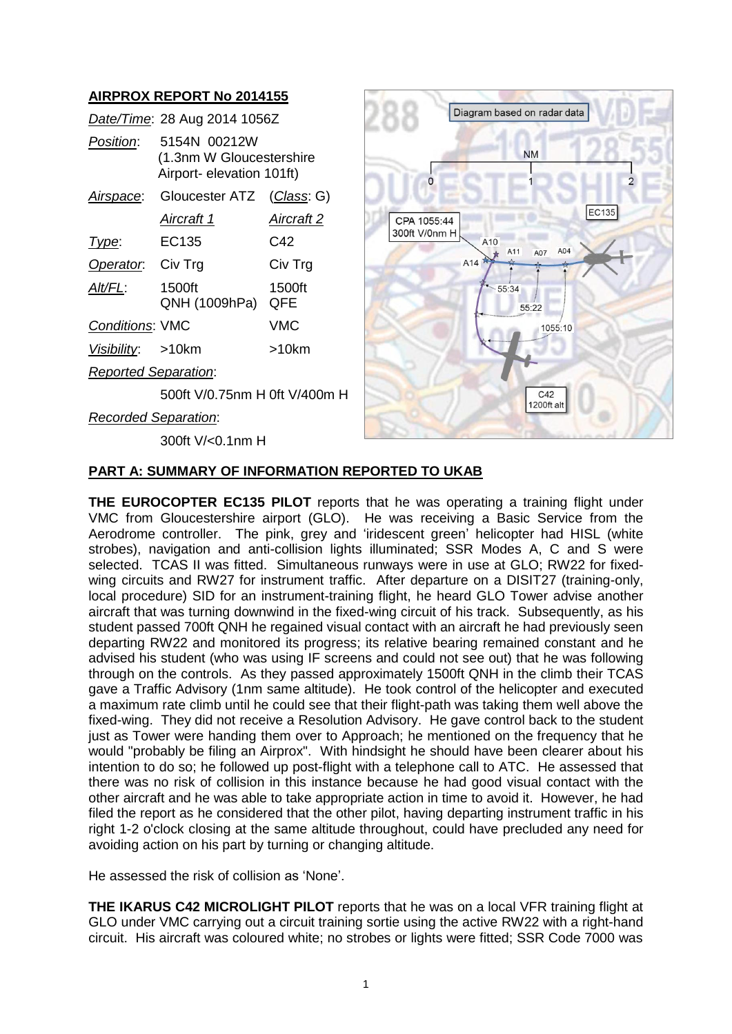# **AIRPROX REPORT No 2014155**

|                             | Date/Time: 28 Aug 2014 1056Z                                          |               |
|-----------------------------|-----------------------------------------------------------------------|---------------|
| Position:                   | 5154N 00212W<br>(1.3nm W Gloucestershire<br>Airport- elevation 101ft) |               |
| Airspace:                   | Gloucester ATZ                                                        | (Class: G)    |
|                             | Aircraft 1                                                            | Aircraft 2    |
| Type:                       | EC135                                                                 | C42           |
| Operator.                   | Civ Trg                                                               | Civ Trg       |
| Alt/FL:                     | 1500ft<br>QNH (1009hPa)                                               | 1500ft<br>QFE |
| <b>Conditions: VMC</b>      |                                                                       | VMC           |
| Visibility: >10km           |                                                                       | >10km         |
| <b>Reported Separation:</b> |                                                                       |               |
|                             |                                                                       |               |

500ft V/0.75nm H 0ft V/400m H

*Recorded Separation*:

300ft V/<0.1nm H



## **PART A: SUMMARY OF INFORMATION REPORTED TO UKAB**

**THE EUROCOPTER EC135 PILOT** reports that he was operating a training flight under VMC from Gloucestershire airport (GLO). He was receiving a Basic Service from the Aerodrome controller. The pink, grey and 'iridescent green' helicopter had HISL (white strobes), navigation and anti-collision lights illuminated; SSR Modes A, C and S were selected. TCAS II was fitted. Simultaneous runways were in use at GLO; RW22 for fixedwing circuits and RW27 for instrument traffic. After departure on a DISIT27 (training-only, local procedure) SID for an instrument-training flight, he heard GLO Tower advise another aircraft that was turning downwind in the fixed-wing circuit of his track. Subsequently, as his student passed 700ft QNH he regained visual contact with an aircraft he had previously seen departing RW22 and monitored its progress; its relative bearing remained constant and he advised his student (who was using IF screens and could not see out) that he was following through on the controls. As they passed approximately 1500ft QNH in the climb their TCAS gave a Traffic Advisory (1nm same altitude). He took control of the helicopter and executed a maximum rate climb until he could see that their flight-path was taking them well above the fixed-wing. They did not receive a Resolution Advisory. He gave control back to the student just as Tower were handing them over to Approach; he mentioned on the frequency that he would "probably be filing an Airprox". With hindsight he should have been clearer about his intention to do so; he followed up post-flight with a telephone call to ATC. He assessed that there was no risk of collision in this instance because he had good visual contact with the other aircraft and he was able to take appropriate action in time to avoid it. However, he had filed the report as he considered that the other pilot, having departing instrument traffic in his right 1-2 o'clock closing at the same altitude throughout, could have precluded any need for avoiding action on his part by turning or changing altitude.

He assessed the risk of collision as 'None'.

**THE IKARUS C42 MICROLIGHT PILOT** reports that he was on a local VFR training flight at GLO under VMC carrying out a circuit training sortie using the active RW22 with a right-hand circuit. His aircraft was coloured white; no strobes or lights were fitted; SSR Code 7000 was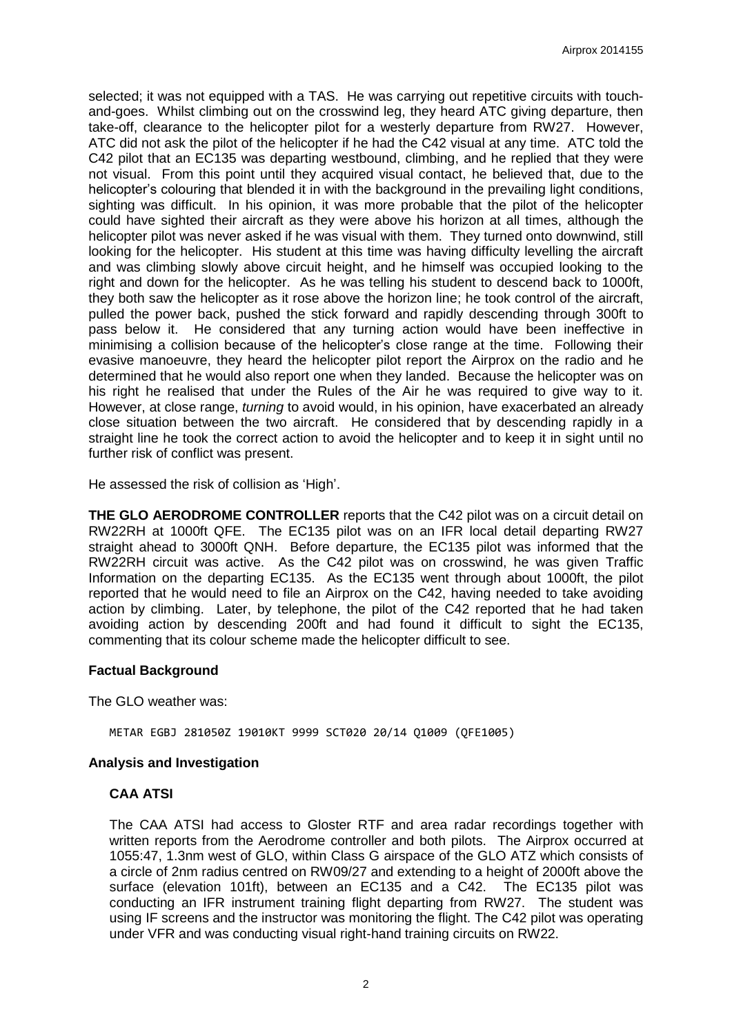selected; it was not equipped with a TAS. He was carrying out repetitive circuits with touchand-goes. Whilst climbing out on the crosswind leg, they heard ATC giving departure, then take-off, clearance to the helicopter pilot for a westerly departure from RW27. However, ATC did not ask the pilot of the helicopter if he had the C42 visual at any time. ATC told the C42 pilot that an EC135 was departing westbound, climbing, and he replied that they were not visual. From this point until they acquired visual contact, he believed that, due to the helicopter's colouring that blended it in with the background in the prevailing light conditions, sighting was difficult. In his opinion, it was more probable that the pilot of the helicopter could have sighted their aircraft as they were above his horizon at all times, although the helicopter pilot was never asked if he was visual with them. They turned onto downwind, still looking for the helicopter. His student at this time was having difficulty levelling the aircraft and was climbing slowly above circuit height, and he himself was occupied looking to the right and down for the helicopter. As he was telling his student to descend back to 1000ft, they both saw the helicopter as it rose above the horizon line; he took control of the aircraft, pulled the power back, pushed the stick forward and rapidly descending through 300ft to pass below it. He considered that any turning action would have been ineffective in minimising a collision because of the helicopter's close range at the time. Following their evasive manoeuvre, they heard the helicopter pilot report the Airprox on the radio and he determined that he would also report one when they landed. Because the helicopter was on his right he realised that under the Rules of the Air he was required to give way to it. However, at close range, *turning* to avoid would, in his opinion, have exacerbated an already close situation between the two aircraft. He considered that by descending rapidly in a straight line he took the correct action to avoid the helicopter and to keep it in sight until no further risk of conflict was present.

He assessed the risk of collision as 'High'.

**THE GLO AERODROME CONTROLLER** reports that the C42 pilot was on a circuit detail on RW22RH at 1000ft QFE. The EC135 pilot was on an IFR local detail departing RW27 straight ahead to 3000ft QNH. Before departure, the EC135 pilot was informed that the RW22RH circuit was active. As the C42 pilot was on crosswind, he was given Traffic Information on the departing EC135. As the EC135 went through about 1000ft, the pilot reported that he would need to file an Airprox on the C42, having needed to take avoiding action by climbing. Later, by telephone, the pilot of the C42 reported that he had taken avoiding action by descending 200ft and had found it difficult to sight the EC135, commenting that its colour scheme made the helicopter difficult to see.

### **Factual Background**

The GLO weather was:

METAR EGBJ 281050Z 19010KT 9999 SCT020 20/14 Q1009 (QFE1005)

### **Analysis and Investigation**

#### **CAA ATSI**

The CAA ATSI had access to Gloster RTF and area radar recordings together with written reports from the Aerodrome controller and both pilots. The Airprox occurred at 1055:47, 1.3nm west of GLO, within Class G airspace of the GLO ATZ which consists of a circle of 2nm radius centred on RW09/27 and extending to a height of 2000ft above the surface (elevation 101ft), between an EC135 and a C42. The EC135 pilot was conducting an IFR instrument training flight departing from RW27. The student was using IF screens and the instructor was monitoring the flight. The C42 pilot was operating under VFR and was conducting visual right-hand training circuits on RW22.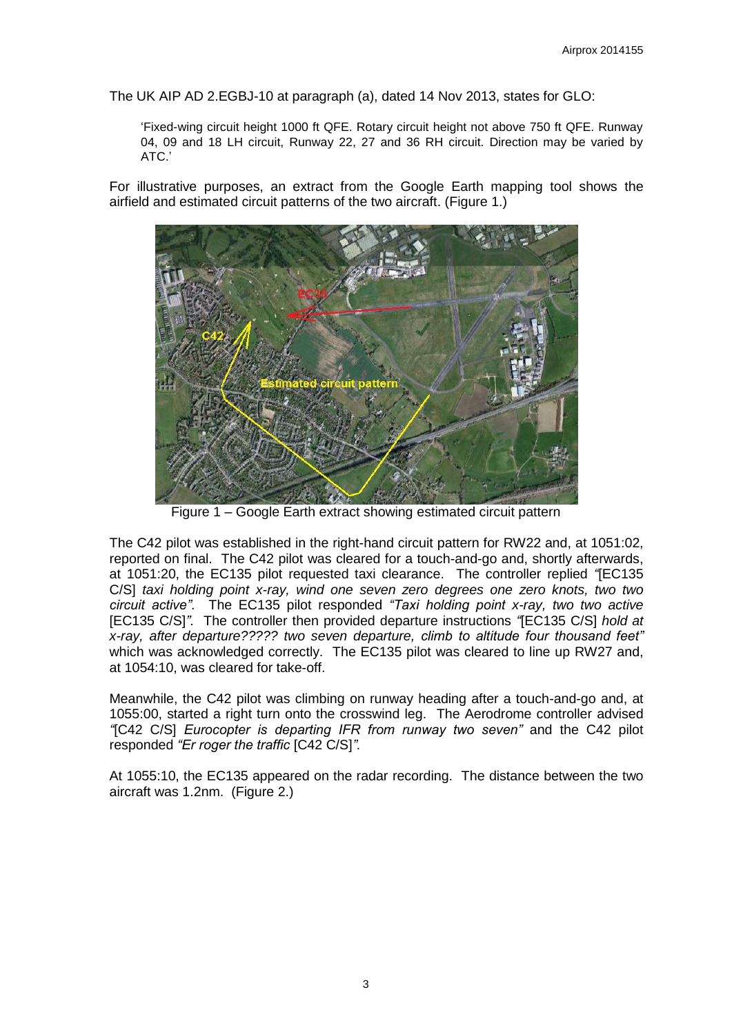The UK AIP AD 2.EGBJ-10 at paragraph (a), dated 14 Nov 2013, states for GLO:

'Fixed-wing circuit height 1000 ft QFE. Rotary circuit height not above 750 ft QFE. Runway 04, 09 and 18 LH circuit, Runway 22, 27 and 36 RH circuit. Direction may be varied by ATC.'

For illustrative purposes, an extract from the Google Earth mapping tool shows the airfield and estimated circuit patterns of the two aircraft. (Figure 1.)



Figure 1 – Google Earth extract showing estimated circuit pattern

The C42 pilot was established in the right-hand circuit pattern for RW22 and, at 1051:02, reported on final. The C42 pilot was cleared for a touch-and-go and, shortly afterwards, at 1051:20, the EC135 pilot requested taxi clearance. The controller replied *"*[EC135 C/S] *taxi holding point x-ray, wind one seven zero degrees one zero knots, two two circuit active"*. The EC135 pilot responded *"Taxi holding point x-ray, two two active*  [EC135 C/S]*"*. The controller then provided departure instructions *"*[EC135 C/S] *hold at x-ray, after departure????? two seven departure, climb to altitude four thousand feet"* which was acknowledged correctly. The EC135 pilot was cleared to line up RW27 and, at 1054:10, was cleared for take-off.

Meanwhile, the C42 pilot was climbing on runway heading after a touch-and-go and, at 1055:00, started a right turn onto the crosswind leg. The Aerodrome controller advised *"*[C42 C/S] *Eurocopter is departing IFR from runway two seven"* and the C42 pilot responded *"Er roger the traffic* [C42 C/S]*".*

At 1055:10, the EC135 appeared on the radar recording. The distance between the two aircraft was 1.2nm. (Figure 2.)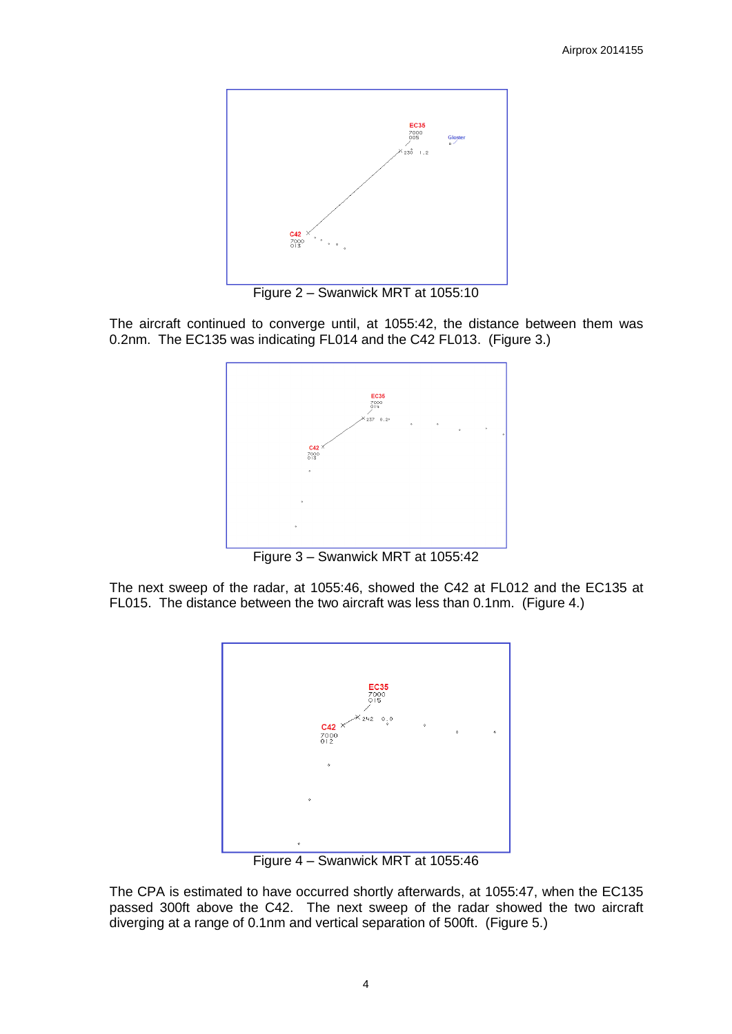

Figure 2 – Swanwick MRT at 1055:10

The aircraft continued to converge until, at 1055:42, the distance between them was 0.2nm. The EC135 was indicating FL014 and the C42 FL013. (Figure 3.)



Figure 3 – Swanwick MRT at 1055:42

The next sweep of the radar, at 1055:46, showed the C42 at FL012 and the EC135 at FL015. The distance between the two aircraft was less than 0.1nm. (Figure 4.)



Figure 4 – Swanwick MRT at 1055:46

The CPA is estimated to have occurred shortly afterwards, at 1055:47, when the EC135 passed 300ft above the C42. The next sweep of the radar showed the two aircraft diverging at a range of 0.1nm and vertical separation of 500ft. (Figure 5.)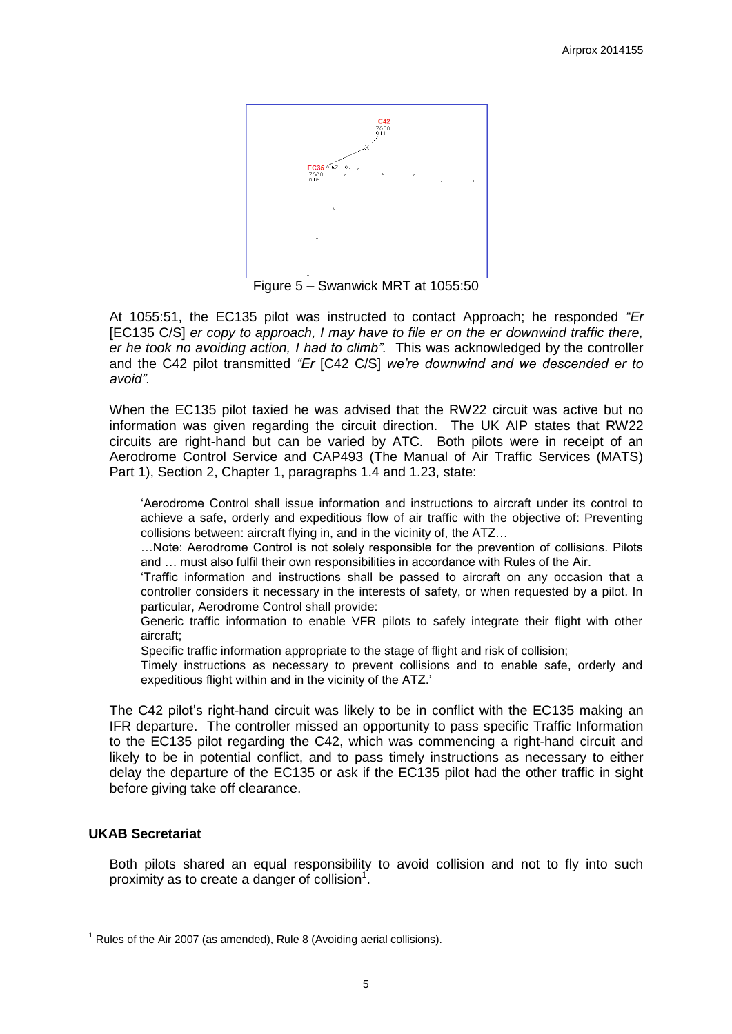

Figure 5 – Swanwick MRT at 1055:50

At 1055:51, the EC135 pilot was instructed to contact Approach; he responded *"Er*  [EC135 C/S] *er copy to approach, I may have to file er on the er downwind traffic there, er he took no avoiding action, I had to climb".* This was acknowledged by the controller and the C42 pilot transmitted *"Er* [C42 C/S] *we're downwind and we descended er to avoid".*

When the EC135 pilot taxied he was advised that the RW22 circuit was active but no information was given regarding the circuit direction. The UK AIP states that RW22 circuits are right-hand but can be varied by ATC. Both pilots were in receipt of an Aerodrome Control Service and CAP493 (The Manual of Air Traffic Services (MATS) Part 1), Section 2, Chapter 1, paragraphs 1.4 and 1.23, state:

'Aerodrome Control shall issue information and instructions to aircraft under its control to achieve a safe, orderly and expeditious flow of air traffic with the objective of: Preventing collisions between: aircraft flying in, and in the vicinity of, the ATZ…

…Note: Aerodrome Control is not solely responsible for the prevention of collisions. Pilots and … must also fulfil their own responsibilities in accordance with Rules of the Air.

'Traffic information and instructions shall be passed to aircraft on any occasion that a controller considers it necessary in the interests of safety, or when requested by a pilot. In particular, Aerodrome Control shall provide:

Generic traffic information to enable VFR pilots to safely integrate their flight with other aircraft;

Specific traffic information appropriate to the stage of flight and risk of collision;

Timely instructions as necessary to prevent collisions and to enable safe, orderly and expeditious flight within and in the vicinity of the ATZ.'

The C42 pilot's right-hand circuit was likely to be in conflict with the EC135 making an IFR departure. The controller missed an opportunity to pass specific Traffic Information to the EC135 pilot regarding the C42, which was commencing a right-hand circuit and likely to be in potential conflict, and to pass timely instructions as necessary to either delay the departure of the EC135 or ask if the EC135 pilot had the other traffic in sight before giving take off clearance.

## **UKAB Secretariat**

**.** 

Both pilots shared an equal responsibility to avoid collision and not to fly into such proximity as to create a danger of collision<sup>1</sup>.

 $1$  Rules of the Air 2007 (as amended), Rule 8 (Avoiding aerial collisions).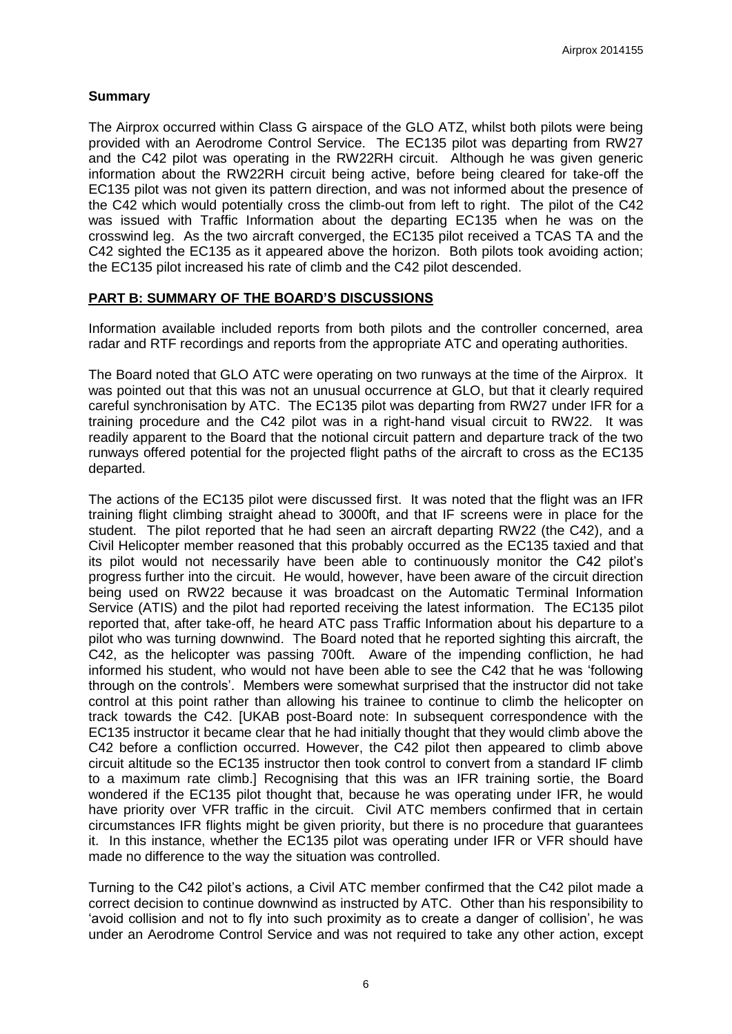# **Summary**

The Airprox occurred within Class G airspace of the GLO ATZ, whilst both pilots were being provided with an Aerodrome Control Service. The EC135 pilot was departing from RW27 and the C42 pilot was operating in the RW22RH circuit. Although he was given generic information about the RW22RH circuit being active, before being cleared for take-off the EC135 pilot was not given its pattern direction, and was not informed about the presence of the C42 which would potentially cross the climb-out from left to right. The pilot of the C42 was issued with Traffic Information about the departing EC135 when he was on the crosswind leg. As the two aircraft converged, the EC135 pilot received a TCAS TA and the C42 sighted the EC135 as it appeared above the horizon. Both pilots took avoiding action; the EC135 pilot increased his rate of climb and the C42 pilot descended.

## **PART B: SUMMARY OF THE BOARD'S DISCUSSIONS**

Information available included reports from both pilots and the controller concerned, area radar and RTF recordings and reports from the appropriate ATC and operating authorities.

The Board noted that GLO ATC were operating on two runways at the time of the Airprox. It was pointed out that this was not an unusual occurrence at GLO, but that it clearly required careful synchronisation by ATC. The EC135 pilot was departing from RW27 under IFR for a training procedure and the C42 pilot was in a right-hand visual circuit to RW22. It was readily apparent to the Board that the notional circuit pattern and departure track of the two runways offered potential for the projected flight paths of the aircraft to cross as the EC135 departed.

The actions of the EC135 pilot were discussed first. It was noted that the flight was an IFR training flight climbing straight ahead to 3000ft, and that IF screens were in place for the student. The pilot reported that he had seen an aircraft departing RW22 (the C42), and a Civil Helicopter member reasoned that this probably occurred as the EC135 taxied and that its pilot would not necessarily have been able to continuously monitor the C42 pilot's progress further into the circuit. He would, however, have been aware of the circuit direction being used on RW22 because it was broadcast on the Automatic Terminal Information Service (ATIS) and the pilot had reported receiving the latest information. The EC135 pilot reported that, after take-off, he heard ATC pass Traffic Information about his departure to a pilot who was turning downwind. The Board noted that he reported sighting this aircraft, the C42, as the helicopter was passing 700ft. Aware of the impending confliction, he had informed his student, who would not have been able to see the C42 that he was 'following through on the controls'. Members were somewhat surprised that the instructor did not take control at this point rather than allowing his trainee to continue to climb the helicopter on track towards the C42. [UKAB post-Board note: In subsequent correspondence with the EC135 instructor it became clear that he had initially thought that they would climb above the C42 before a confliction occurred. However, the C42 pilot then appeared to climb above circuit altitude so the EC135 instructor then took control to convert from a standard IF climb to a maximum rate climb.] Recognising that this was an IFR training sortie, the Board wondered if the EC135 pilot thought that, because he was operating under IFR, he would have priority over VFR traffic in the circuit. Civil ATC members confirmed that in certain circumstances IFR flights might be given priority, but there is no procedure that guarantees it. In this instance, whether the EC135 pilot was operating under IFR or VFR should have made no difference to the way the situation was controlled.

Turning to the C42 pilot's actions, a Civil ATC member confirmed that the C42 pilot made a correct decision to continue downwind as instructed by ATC. Other than his responsibility to 'avoid collision and not to fly into such proximity as to create a danger of collision', he was under an Aerodrome Control Service and was not required to take any other action, except